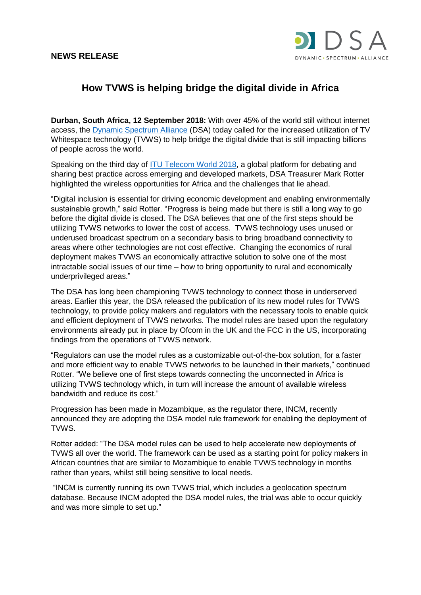## **NEWS RELEASE**



## **How TVWS is helping bridge the digital divide in Africa**

**Durban, South Africa, 12 September 2018:** With over 45% of the world still without internet access, the [Dynamic Spectrum Alliance](http://dynamicspectrumalliance.org/) (DSA) today called for the increased utilization of TV Whitespace technology (TVWS) to help bridge the digital divide that is still impacting billions of people across the world.

Speaking on the third day of [ITU Telecom World 2018,](https://telecomworld.itu.int/2018-event/) a global platform for debating and sharing best practice across emerging and developed markets, DSA Treasurer Mark Rotter highlighted the wireless opportunities for Africa and the challenges that lie ahead.

"Digital inclusion is essential for driving economic development and enabling environmentally sustainable growth," said Rotter. "Progress is being made but there is still a long way to go before the digital divide is closed. The DSA believes that one of the first steps should be utilizing TVWS networks to lower the cost of access. TVWS technology uses unused or underused broadcast spectrum on a secondary basis to bring broadband connectivity to areas where other technologies are not cost effective. Changing the economics of rural deployment makes TVWS an economically attractive solution to solve one of the most intractable social issues of our time – how to bring opportunity to rural and economically underprivileged areas."

The DSA has long been championing TVWS technology to connect those in underserved areas. Earlier this year, the DSA released the publication of its new model rules for TVWS technology, to provide policy makers and regulators with the necessary tools to enable quick and efficient deployment of TVWS networks. The model rules are based upon the regulatory environments already put in place by Ofcom in the UK and the FCC in the US, incorporating findings from the operations of TVWS network.

"Regulators can use the model rules as a customizable out-of-the-box solution, for a faster and more efficient way to enable TVWS networks to be launched in their markets," continued Rotter. "We believe one of first steps towards connecting the unconnected in Africa is utilizing TVWS technology which, in turn will increase the amount of available wireless bandwidth and reduce its cost."

Progression has been made in Mozambique, as the regulator there, INCM, recently announced they are adopting the DSA model rule framework for enabling the deployment of TVWS.

Rotter added: "The DSA model rules can be used to help accelerate new deployments of TVWS all over the world. The framework can be used as a starting point for policy makers in African countries that are similar to Mozambique to enable TVWS technology in months rather than years, whilst still being sensitive to local needs.

"INCM is currently running its own TVWS trial, which includes a geolocation spectrum database. Because INCM adopted the DSA model rules, the trial was able to occur quickly and was more simple to set up."